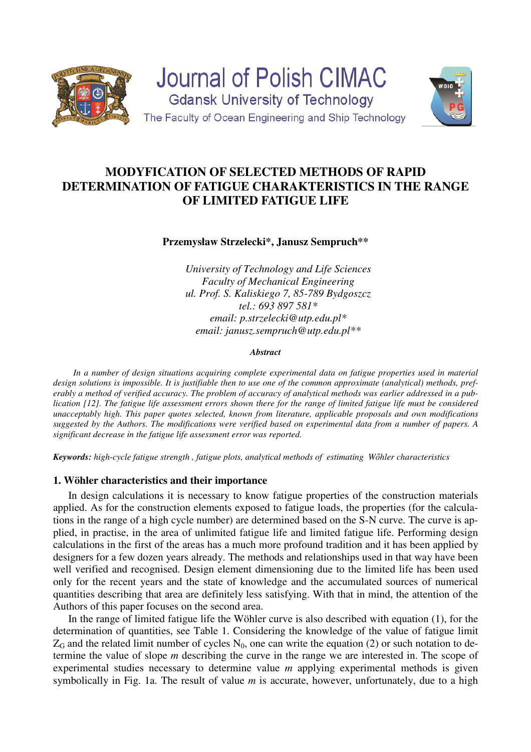

**Journal of Polish CIMAC Gdansk University of Technology** The Faculty of Ocean Engineering and Ship Technology



# **MODYFICATION OF SELECTED METHODS OF RAPID DETERMINATION OF FATIGUE CHARAKTERISTICS IN THE RANGE OF LIMITED FATIGUE LIFE**

# **Przemysław Strzelecki\*, Janusz Sempruch\*\***

*University of Technology and Life Sciences Faculty of Mechanical Engineering ul. Prof. S. Kaliskiego 7, 85-789 Bydgoszcz tel.: 693 897 581\* email: p.strzelecki@utp.edu.pl\* email: janusz.sempruch@utp.edu.pl\*\** 

#### *Abstract*

*In a number of design situations acquiring complete experimental data on fatigue properties used in material design solutions is impossible. It is justifiable then to use one of the common approximate (analytical) methods, preferably a method of verified accuracy. The problem of accuracy of analytical methods was earlier addressed in a publication [12]. The fatigue life assessment errors shown there for the range of limited fatigue life must be considered unacceptably high. This paper quotes selected, known from literature, applicable proposals and own modifications suggested by the Authors. The modifications were verified based on experimental data from a number of papers. A significant decrease in the fatigue life assessment error was reported.* 

*Keywords: high*-*cycle fatigue strength , fatigue plots, analytical methods of estimating Wőhler characteristics* 

# **1. Wöhler characteristics and their importance**

In design calculations it is necessary to know fatigue properties of the construction materials applied. As for the construction elements exposed to fatigue loads, the properties (for the calculations in the range of a high cycle number) are determined based on the S-N curve. The curve is applied, in practise, in the area of unlimited fatigue life and limited fatigue life. Performing design calculations in the first of the areas has a much more profound tradition and it has been applied by designers for a few dozen years already. The methods and relationships used in that way have been well verified and recognised. Design element dimensioning due to the limited life has been used only for the recent years and the state of knowledge and the accumulated sources of numerical quantities describing that area are definitely less satisfying. With that in mind, the attention of the Authors of this paper focuses on the second area.

In the range of limited fatigue life the Wöhler curve is also described with equation (1), for the determination of quantities, see Table 1. Considering the knowledge of the value of fatigue limit  $Z_G$  and the related limit number of cycles  $N_0$ , one can write the equation (2) or such notation to determine the value of slope *m* describing the curve in the range we are interested in. The scope of experimental studies necessary to determine value *m* applying experimental methods is given symbolically in Fig. 1a. The result of value *m* is accurate, however, unfortunately, due to a high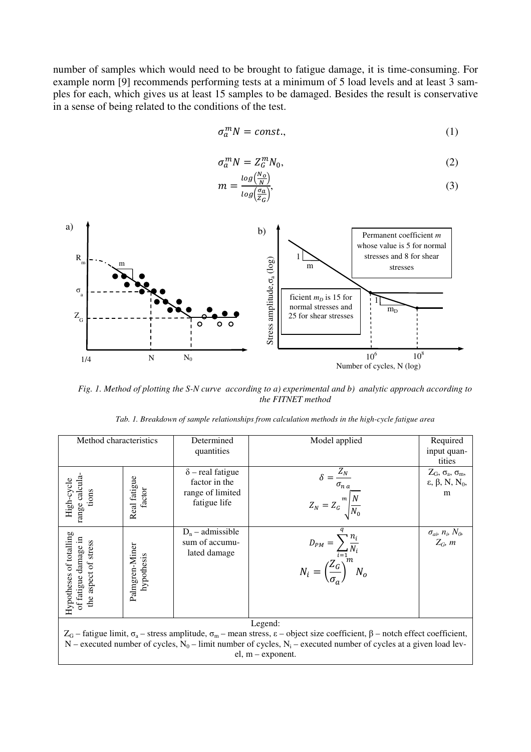number of samples which would need to be brought to fatigue damage, it is time-consuming. For example norm [9] recommends performing tests at a minimum of 5 load levels and at least 3 samples for each, which gives us at least 15 samples to be damaged. Besides the result is conservative in a sense of being related to the conditions of the test.

$$
\sigma_a^m N = const.,\tag{1}
$$

$$
\sigma_a^m N = Z_G^m N_0,\tag{2}
$$

$$
m = \frac{\log(\frac{N_o}{N})}{\log(\frac{\sigma_a}{Z_G})},\tag{3}
$$



*Fig. 1. Method of plotting the S-N curve according to a) experimental and b) analytic approach according to the FITNET method* 

| Method characteristics                                                                                                                                       |                              | Determined<br>quantities                                                     | Model applied                                                                                  | Required<br>input quan-<br>tities                                                       |  |
|--------------------------------------------------------------------------------------------------------------------------------------------------------------|------------------------------|------------------------------------------------------------------------------|------------------------------------------------------------------------------------------------|-----------------------------------------------------------------------------------------|--|
| range calcula<br>High-cycle<br>tions                                                                                                                         | Real fatigue<br>factor       | $\delta$ – real fatigue<br>factor in the<br>range of limited<br>fatigue life | $\delta = \frac{Z_N}{\sigma_{n\,a}}$<br>$Z_N = Z_G \frac{m}{N_0} \frac{N}{N_0}$                | $Z_G$ , $\sigma_a$ , $\sigma_m$ ,<br>$\varepsilon$ , $\beta$ , N, N <sub>0</sub> ,<br>m |  |
| Hypotheses of totalling<br>of fatigue damage in<br>the aspect of stress                                                                                      | Palmgren-Miner<br>hypothesis | $D_n$ – admissible<br>sum of accumu-<br>lated damage                         | $D_{PM} = \sum_{i=1}^{n_i} \frac{n_i}{N_i}$<br>$N_i = \left(\frac{Z_G}{\sigma_a}\right)^m N_o$ | $\sigma_{ab}$ $n_b$ $N_0$ ,<br>$Z_G$ , m                                                |  |
| Legend:                                                                                                                                                      |                              |                                                                              |                                                                                                |                                                                                         |  |
| $Z_G$ – fatigue limit, $\sigma_a$ – stress amplitude, $\sigma_m$ – mean stress, $\varepsilon$ – object size coefficient, $\beta$ – notch effect coefficient, |                              |                                                                              |                                                                                                |                                                                                         |  |
| N – executed number of cycles, N <sub>0</sub> – limit number of cycles, N <sub>i</sub> – executed number of cycles at a given load lev-                      |                              |                                                                              |                                                                                                |                                                                                         |  |

el, m – exponent.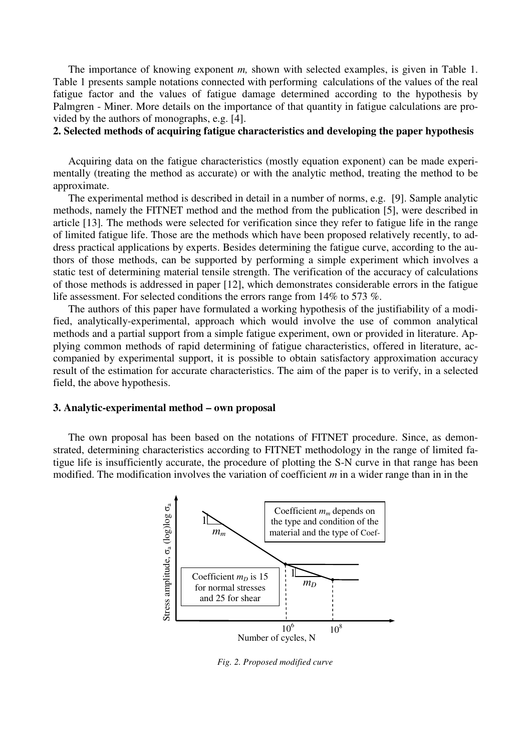The importance of knowing exponent *m,* shown with selected examples, is given in Table 1. Table 1 presents sample notations connected with performing calculations of the values of the real fatigue factor and the values of fatigue damage determined according to the hypothesis by Palmgren - Miner. More details on the importance of that quantity in fatigue calculations are provided by the authors of monographs, e.g. [4].

**2. Selected methods of acquiring fatigue characteristics and developing the paper hypothesis** 

Acquiring data on the fatigue characteristics (mostly equation exponent) can be made experimentally (treating the method as accurate) or with the analytic method, treating the method to be approximate.

The experimental method is described in detail in a number of norms, e.g. [9]. Sample analytic methods, namely the FITNET method and the method from the publication [5], were described in article [13]*.* The methods were selected for verification since they refer to fatigue life in the range of limited fatigue life. Those are the methods which have been proposed relatively recently, to address practical applications by experts. Besides determining the fatigue curve, according to the authors of those methods, can be supported by performing a simple experiment which involves a static test of determining material tensile strength. The verification of the accuracy of calculations of those methods is addressed in paper [12], which demonstrates considerable errors in the fatigue life assessment. For selected conditions the errors range from 14% to 573 %.

The authors of this paper have formulated a working hypothesis of the justifiability of a modified, analytically-experimental, approach which would involve the use of common analytical methods and a partial support from a simple fatigue experiment, own or provided in literature. Applying common methods of rapid determining of fatigue characteristics, offered in literature, accompanied by experimental support, it is possible to obtain satisfactory approximation accuracy result of the estimation for accurate characteristics. The aim of the paper is to verify, in a selected field, the above hypothesis.

#### **3. Analytic-experimental method – own proposal**

The own proposal has been based on the notations of FITNET procedure. Since, as demonstrated, determining characteristics according to FITNET methodology in the range of limited fatigue life is insufficiently accurate, the procedure of plotting the S-N curve in that range has been modified. The modification involves the variation of coefficient *m* in a wider range than in in the



*Fig. 2. Proposed modified curve*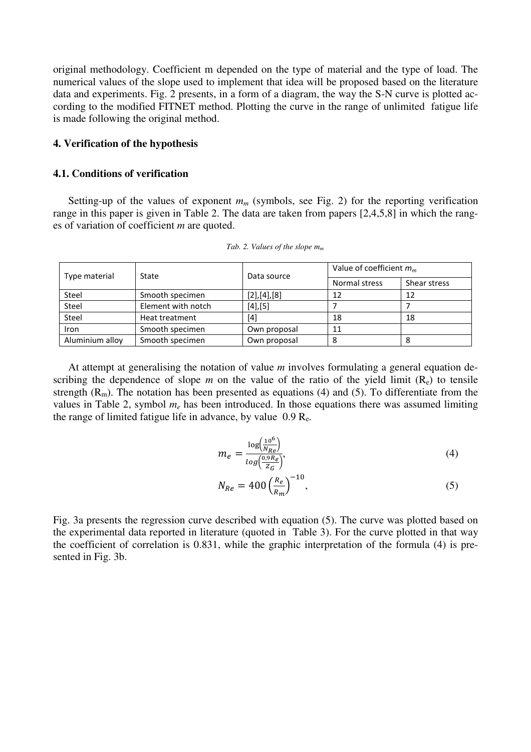original methodology. Coefficient m depended on the type of material and the type of load. The numerical values of the slope used to implement that idea will be proposed based on the literature data and experiments. Fig. 2 presents, in a form of a diagram, the way the S-N curve is plotted according to the modified FITNET method. Plotting the curve in the range of unlimited fatigue life is made following the original method.

## **4. Verification of the hypothesis**

## **4.1. Conditions of verification**

Setting-up of the values of exponent  $m_m$  (symbols, see Fig. 2) for the reporting verification range in this paper is given in Table 2. The data are taken from papers [2,4,5,8] in which the ranges of variation of coefficient *m* are quoted.

| Type material   | State              | Data source  | Value of coefficient $m_m$ |              |
|-----------------|--------------------|--------------|----------------------------|--------------|
|                 |                    |              | Normal stress              | Shear stress |
| Steel           | Smooth specimen    | [2],[4],[8]  | 12                         | 12           |
| Steel           | Element with notch | $[4]$ , [5]  |                            |              |
| Steel           | Heat treatment     | $[4]$        | 18                         | 18           |
| Iron            | Smooth specimen    | Own proposal | 11                         |              |
| Aluminium alloy | Smooth specimen    | Own proposal | 8                          |              |

*Tab. 2. Values of the slope m<sup>m</sup>*

At attempt at generalising the notation of value *m* involves formulating a general equation describing the dependence of slope  $m$  on the value of the ratio of the yield limit  $(R_e)$  to tensile strength  $(R_m)$ . The notation has been presented as equations (4) and (5). To differentiate from the values in Table 2, symbol  $m_e$  has been introduced. In those equations there was assumed limiting the range of limited fatigue life in advance, by value  $0.9 \text{ R}_e$ .

$$
m_e = \frac{\log(\frac{10^6}{N_{Re}})}{\log(\frac{0.9 R_e}{Z_G})},\tag{4}
$$

$$
N_{Re} = 400 \left(\frac{R_e}{R_m}\right)^{-10},\tag{5}
$$

Fig. 3a presents the regression curve described with equation (5). The curve was plotted based on the experimental data reported in literature (quoted in Table 3). For the curve plotted in that way the coefficient of correlation is 0.831, while the graphic interpretation of the formula (4) is presented in Fig. 3b.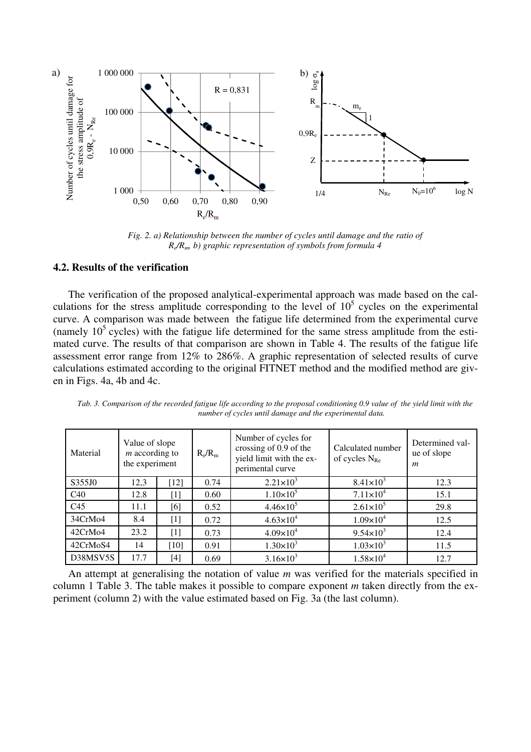

*Fig. 2. a) Relationship between the number of cycles until damage and the ratio of Re /Rm, b) graphic representation of symbols from formula 4* 

#### **4.2. Results of the verification**

The verification of the proposed analytical-experimental approach was made based on the calculations for the stress amplitude corresponding to the level of  $10<sup>5</sup>$  cycles on the experimental curve. A comparison was made between the fatigue life determined from the experimental curve (namely  $10^5$  cycles) with the fatigue life determined for the same stress amplitude from the estimated curve. The results of that comparison are shown in Table 4. The results of the fatigue life assessment error range from 12% to 286%. A graphic representation of selected results of curve calculations estimated according to the original FITNET method and the modified method are given in Figs. 4a, 4b and 4c.

| Material        | Value of slope<br>$m$ according to<br>the experiment |        | $R_e/R_m$ | Number of cycles for<br>crossing of 0.9 of the<br>yield limit with the ex-<br>perimental curve | Calculated number<br>of cycles $N_{Re}$ | Determined val-<br>ue of slope<br>$\boldsymbol{m}$ |
|-----------------|------------------------------------------------------|--------|-----------|------------------------------------------------------------------------------------------------|-----------------------------------------|----------------------------------------------------|
| S355J0          | 12,3                                                 | $[12]$ | 0.74      | $2.21 \times 10^3$                                                                             | $8.41 \times 10^3$                      | 12.3                                               |
| C40             | 12.8                                                 | [1]    | 0.60      | $1.10\times10^{5}$                                                                             | $7.11 \times 10^4$                      | 15.1                                               |
| C <sub>45</sub> | 11.1                                                 | [6]    | 0.52      | $4.46 \times 10^{5}$                                                                           | $2.61 \times 10^5$                      | 29.8                                               |
| 34CrMo4         | 8.4                                                  | [1]    | 0.72      | $4.63 \times 10^{4}$                                                                           | $1.09\times10^{4}$                      | 12.5                                               |
| 42CrMo4         | 23.2                                                 | $[1]$  | 0.73      | $4.09 \times 10^{4}$                                                                           | $9.54 \times 10^3$                      | 12.4                                               |
| 42CrMoS4        | 14                                                   | $[10]$ | 0.91      | $1.30 \times 10^{3}$                                                                           | $1.03 \times 10^{3}$                    | 11.5                                               |
| D38MSV5S        | 17.7                                                 | [4]    | 0.69      | $3.16 \times 10^{3}$                                                                           | $1.58\times10^{4}$                      | 12.7                                               |

*Tab. 3. Comparison of the recorded fatigue life according to the proposal conditioning 0.9 value of the yield limit with the number of cycles until damage and the experimental data.* 

An attempt at generalising the notation of value *m* was verified for the materials specified in column 1 Table 3. The table makes it possible to compare exponent *m* taken directly from the experiment (column 2) with the value estimated based on Fig. 3a (the last column).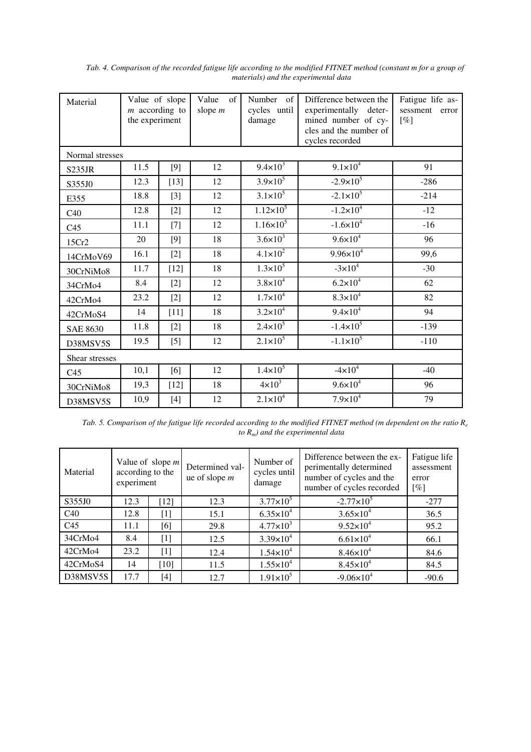| Material        | Value of slope<br>$m$ according to<br>the experiment |                   | Value<br>$\sigma$ f<br>slope $m$ | Number of<br>cycles until<br>damage | Difference between the<br>experimentally deter-<br>mined number of cy-<br>cles and the number of<br>cycles recorded | Fatigue life as-<br>sessment<br>error<br>[%] |
|-----------------|------------------------------------------------------|-------------------|----------------------------------|-------------------------------------|---------------------------------------------------------------------------------------------------------------------|----------------------------------------------|
| Normal stresses |                                                      |                   |                                  |                                     |                                                                                                                     |                                              |
| <b>S235JR</b>   | 11.5                                                 | $[9]$             | 12                               | $9.4 \times 10^{3}$                 | $9.1 \times 10^{4}$                                                                                                 | 91                                           |
| S355J0          | 12.3                                                 | $[13]$            | 12                               | $3.9 \times 10^{5}$                 | $-2.9 \times 10^5$                                                                                                  | $-286$                                       |
| E355            | 18.8                                                 | $[3]$             | 12                               | $3.1 \times 10^5$                   | $-2.1 \times 10^5$                                                                                                  | $-214$                                       |
| C40             | 12.8                                                 | $[2]$             | 12                               | $1.12 \times 10^5$                  | $-1.2 \times 10^4$                                                                                                  | $-12$                                        |
| C <sub>45</sub> | 11.1                                                 | $[7]$             | 12                               | $1.16 \times 10^{5}$                | $-1.6 \times 10^{4}$                                                                                                | $-16$                                        |
| 15Cr2           | 20                                                   | $[9]$             | 18                               | $3.6 \times 10^{3}$                 | $9.6 \times 10^{4}$                                                                                                 | 96                                           |
| 14CrMoV69       | 16.1                                                 | $[2]$             | 18                               | $4.1 \times 10^{2}$                 | $9.96 \times 10^{4}$                                                                                                | 99,6                                         |
| 30CrNiMo8       | 11.7                                                 | $[12]$            | 18                               | $1.3 \times 10^5$                   | $-3 \times 10^4$                                                                                                    | $-30$                                        |
| 34CrMo4         | 8.4                                                  | $[2]$             | 12                               | $3.8 \times 10^{4}$                 | $6.2 \times 10^{4}$                                                                                                 | 62                                           |
| 42CrMo4         | 23.2                                                 | $\lceil 2 \rceil$ | 12                               | $1.7 \times 10^{4}$                 | $8.3 \times 10^{4}$                                                                                                 | 82                                           |
| 42CrMoS4        | 14                                                   | $[11]$            | 18                               | $3.2 \times 10^{4}$                 | $9.4 \times 10^{4}$                                                                                                 | 94                                           |
| <b>SAE 8630</b> | 11.8                                                 | $[2]$             | 18                               | $2.4 \times 10^5$                   | $-1.4 \times 10^{5}$                                                                                                | $-139$                                       |
| D38MSV5S        | 19.5                                                 | $[5]$             | 12                               | $2.1 \times 10^5$                   | $-1.1 \times 10^5$                                                                                                  | $-110$                                       |
| Shear stresses  |                                                      |                   |                                  |                                     |                                                                                                                     |                                              |
| C <sub>45</sub> | 10,1                                                 | [6]               | 12                               | $1.4 \times 10^{5}$                 | $-4 \times 10^4$                                                                                                    | $-40$                                        |
| 30CrNiMo8       | 19,3                                                 | $[12]$            | 18                               | $4 \times 10^3$                     | $9.6 \times 10^{4}$                                                                                                 | 96                                           |
| D38MSV5S        | 10,9                                                 | $[4]$             | 12                               | $2.1 \times 10^{4}$                 | $7.9 \times 10^{4}$                                                                                                 | 79                                           |

*Tab. 4. Comparison of the recorded fatigue life according to the modified FITNET method (constant m for a group of materials) and the experimental data* 

*Tab. 5. Comparison of the fatigue life recorded according to the modified FITNET method (m dependent on the ratio R<sup>e</sup> to Rm) and the experimental data* 

| Material        | Value of slope $m$<br>according to the<br>experiment |                   | Determined val-<br>ue of slope $m$ | Number of<br>cycles until<br>damage | Difference between the ex-<br>perimentally determined<br>number of cycles and the<br>number of cycles recorded | Fatigue life<br>assessment<br>error<br>[%] |
|-----------------|------------------------------------------------------|-------------------|------------------------------------|-------------------------------------|----------------------------------------------------------------------------------------------------------------|--------------------------------------------|
| S355J0          | 12.3                                                 | [12]              | 12.3                               | $3.77 \times 10^{5}$                | $-2.77 \times 10^5$                                                                                            | $-277$                                     |
| C40             | 12.8                                                 | [1]               | 15.1                               | $6.35 \times 10^{4}$                | $3.65 \times 10^{4}$                                                                                           | 36.5                                       |
| C <sub>45</sub> | 11.1                                                 | [6]               | 29.8                               | $4.77 \times 10^{3}$                | $9.52 \times 10^{4}$                                                                                           | 95.2                                       |
| 34CrMo4         | 8.4                                                  | $[1]$             | 12.5                               | $3.39 \times 10^{4}$                | $6.61 \times 10^{4}$                                                                                           | 66.1                                       |
| 42CrMo4         | 23.2                                                 | $\lceil 1 \rceil$ | 12.4                               | $1.54 \times 10^{4}$                | $8.46 \times 10^{4}$                                                                                           | 84.6                                       |
| 42CrMoS4        | 14                                                   | [10]              | 11.5                               | $1.55 \times 10^{4}$                | $8.45 \times 10^{4}$                                                                                           | 84.5                                       |
| D38MSV5S        | 17.7                                                 | $[4]$             | 12.7                               | $1.91 \times 10^5$                  | $-9.06 \times 10^{4}$                                                                                          | $-90.6$                                    |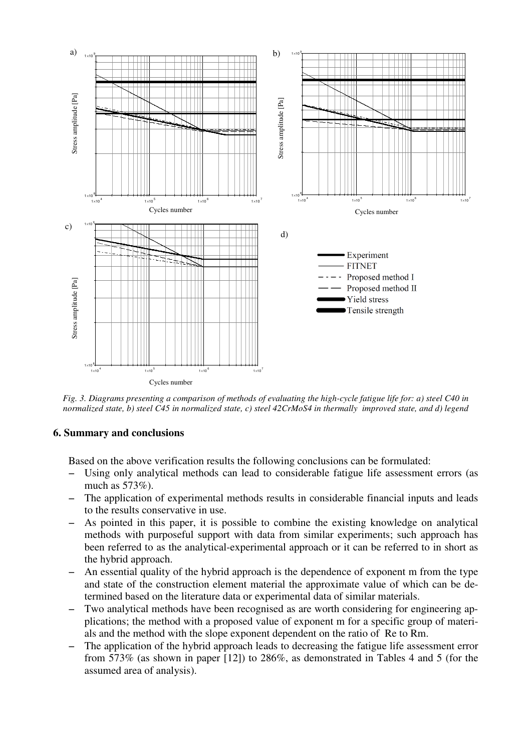

*Fig. 3. Diagrams presenting a comparison of methods of evaluating the high-cycle fatigue life for: a) steel C40 in normalized state, b) steel C45 in normalized state, c) steel 42CrMoS4 in thermally improved state, and d) legend* 

# **6. Summary and conclusions**

Based on the above verification results the following conclusions can be formulated:

- − Using only analytical methods can lead to considerable fatigue life assessment errors (as much as 573%).
- The application of experimental methods results in considerable financial inputs and leads to the results conservative in use.
- − As pointed in this paper, it is possible to combine the existing knowledge on analytical methods with purposeful support with data from similar experiments; such approach has been referred to as the analytical-experimental approach or it can be referred to in short as the hybrid approach.
- An essential quality of the hybrid approach is the dependence of exponent m from the type and state of the construction element material the approximate value of which can be determined based on the literature data or experimental data of similar materials.
- Two analytical methods have been recognised as are worth considering for engineering applications; the method with a proposed value of exponent m for a specific group of materials and the method with the slope exponent dependent on the ratio of Re to Rm.
- The application of the hybrid approach leads to decreasing the fatigue life assessment error from 573% (as shown in paper [12]) to 286%, as demonstrated in Tables 4 and 5 (for the assumed area of analysis).